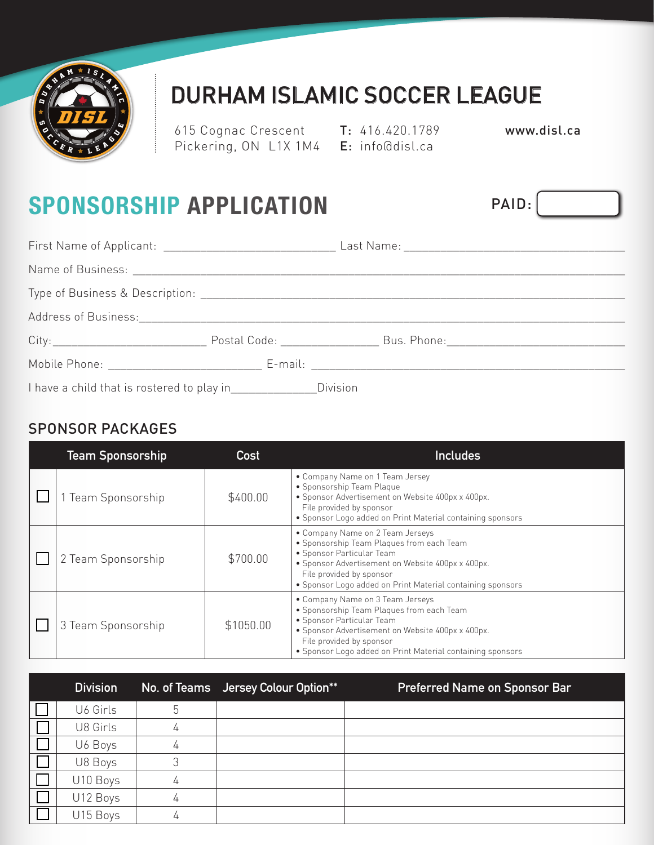

# DURHAM ISLAMIC SOCCER LEAGUE

615 Cognac Crescent T: 416.420.1789 Pickering, ON L1X 1M4 **E**: info@disl.ca

www.disl.ca

PAID:

# **SPONSORSHIP APPLICATION**

ŧ

| I have a child that is rostered to play in________________Division |  |  |
|--------------------------------------------------------------------|--|--|

### SPONSOR PACKAGES

| <b>Team Sponsorship</b> | Cost      | <b>Includes</b>                                                                                                                                                                                                                                           |
|-------------------------|-----------|-----------------------------------------------------------------------------------------------------------------------------------------------------------------------------------------------------------------------------------------------------------|
| Team Sponsorship        | \$400.00  | • Company Name on 1 Team Jersey<br>• Sponsorship Team Plaque<br>· Sponsor Advertisement on Website 400px x 400px.<br>File provided by sponsor<br>• Sponsor Logo added on Print Material containing sponsors                                               |
| 2 Team Sponsorship      | \$700.00  | • Company Name on 2 Team Jerseys<br>• Sponsorship Team Plaques from each Team<br>• Sponsor Particular Team<br>• Sponsor Advertisement on Website 400px x 400px.<br>File provided by sponsor<br>• Sponsor Logo added on Print Material containing sponsors |
| 3 Team Sponsorship      | \$1050.00 | • Company Name on 3 Team Jerseys<br>• Sponsorship Team Plaques from each Team<br>• Sponsor Particular Team<br>• Sponsor Advertisement on Website 400px x 400px.<br>File provided by sponsor<br>• Sponsor Logo added on Print Material containing sponsors |

| <b>Division</b> |   | No. of Teams Jersey Colour Option** | <b>Preferred Name on Sponsor Bar</b> |
|-----------------|---|-------------------------------------|--------------------------------------|
| U6 Girls        | 5 |                                     |                                      |
| U8 Girls        |   |                                     |                                      |
| U6 Boys         | 4 |                                     |                                      |
| U8 Boys         |   |                                     |                                      |
| U10 Boys        | 4 |                                     |                                      |
| U12 Boys        |   |                                     |                                      |
| U15 Boys        |   |                                     |                                      |